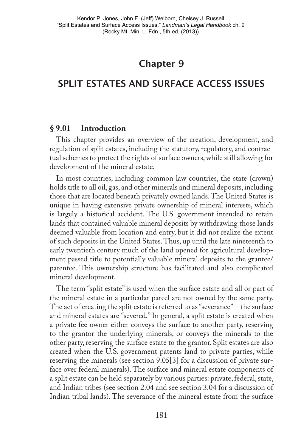# Chapter 9

# Split Estates and Surface Access Issues

#### **§ 9.01 Introduction**

This chapter provides an overview of the creation, development, and regulation of split estates, including the statutory, regulatory, and contractual schemes to protect the rights of surface owners, while still allowing for development of the mineral estate.

In most countries, including common law countries, the state (crown) holds title to all oil, gas, and other minerals and mineral deposits, including those that are located beneath privately owned lands. The United States is unique in having extensive private ownership of mineral interests, which is largely a historical accident. The U.S. government intended to retain lands that contained valuable mineral deposits by withdrawing those lands deemed valuable from location and entry, but it did not realize the extent of such deposits in the United States. Thus, up until the late nineteenth to early twentieth century much of the land opened for agricultural development passed title to potentially valuable mineral deposits to the grantee/ patentee. This ownership structure has facilitated and also complicated mineral development.

The term "split estate" is used when the surface estate and all or part of the mineral estate in a particular parcel are not owned by the same party. The act of creating the split estate is referred to as "severance"—the surface and mineral estates are "severed." In general, a split estate is created when a private fee owner either conveys the surface to another party, reserving to the grantor the underlying minerals, or conveys the minerals to the other party, reserving the surface estate to the grantor. Split estates are also created when the U.S. government patents land to private parties, while reserving the minerals (see section 9.05[3] for a discussion of private surface over federal minerals). The surface and mineral estate components of a split estate can be held separately by various parties: private, federal, state, and Indian tribes (see section 2.04 and see section 3.04 for a discussion of Indian tribal lands). The severance of the mineral estate from the surface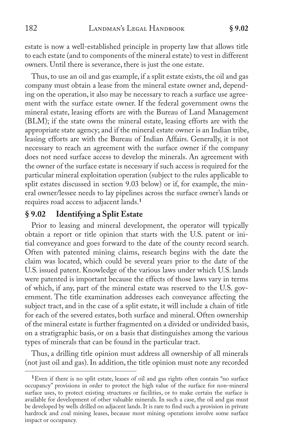estate is now a well-established principle in property law that allows title to each estate (and to components of the mineral estate) to vest in different owners. Until there is severance, there is just the one estate.

Thus, to use an oil and gas example, if a split estate exists, the oil and gas company must obtain a lease from the mineral estate owner and, depending on the operation, it also may be necessary to reach a surface use agreement with the surface estate owner. If the federal government owns the mineral estate, leasing efforts are with the Bureau of Land Management (BLM); if the state owns the mineral estate, leasing efforts are with the appropriate state agency; and if the mineral estate owner is an Indian tribe, leasing efforts are with the Bureau of Indian Affairs. Generally, it is not necessary to reach an agreement with the surface owner if the company does not need surface access to develop the minerals. An agreement with the owner of the surface estate is necessary if such access is required for the particular mineral exploitation operation (subject to the rules applicable to split estates discussed in section 9.03 below) or if, for example, the mineral owner/lessee needs to lay pipelines across the surface owner's lands or requires road access to adjacent lands.<sup>1</sup>

## **§ 9.02 Identifying a Split Estate**

Prior to leasing and mineral development, the operator will typically obtain a report or title opinion that starts with the U.S. patent or initial conveyance and goes forward to the date of the county record search. Often with patented mining claims, research begins with the date the claim was located, which could be several years prior to the date of the U.S. issued patent. Knowledge of the various laws under which U.S. lands were patented is important because the effects of those laws vary in terms of which, if any, part of the mineral estate was reserved to the U.S. government. The title examination addresses each conveyance affecting the subject tract, and in the case of a split estate, it will include a chain of title for each of the severed estates, both surface and mineral. Often ownership of the mineral estate is further fragmented on a divided or undivided basis, on a stratigraphic basis, or on a basis that distinguishes among the various types of minerals that can be found in the particular tract.

Thus, a drilling title opinion must address all ownership of all minerals (not just oil and gas). In addition, the title opinion must note any recorded

<sup>&</sup>lt;sup>1</sup> Even if there is no split estate, leases of oil and gas rights often contain "no surface occupancy" provisions in order to protect the high value of the surface for non-mineral surface uses, to protect existing structures or facilities, or to make certain the surface is available for development of other valuable minerals. In such a case, the oil and gas must be developed by wells drilled on adjacent lands. It is rare to find such a provision in private hardrock and coal mining leases, because most mining operations involve some surface impact or occupancy.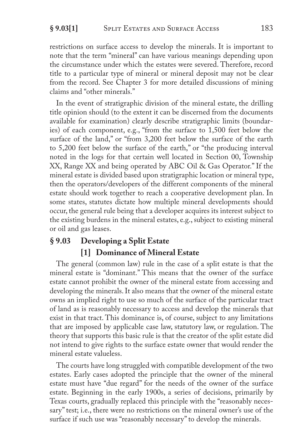restrictions on surface access to develop the minerals. It is important to note that the term "mineral" can have various meanings depending upon the circumstance under which the estates were severed. Therefore, record title to a particular type of mineral or mineral deposit may not be clear from the record. See Chapter 3 for more detailed discussions of mining claims and "other minerals."

In the event of stratigraphic division of the mineral estate, the drilling title opinion should (to the extent it can be discerned from the documents available for examination) clearly describe stratigraphic limits (boundaries) of each component, e.g., "from the surface to 1,500 feet below the surface of the land," or "from 3,200 feet below the surface of the earth to 5,200 feet below the surface of the earth," or "the producing interval noted in the logs for that certain well located in Section 00, Township XX, Range XX and being operated by ABC Oil & Gas Operator." If the mineral estate is divided based upon stratigraphic location or mineral type, then the operators/developers of the different components of the mineral estate should work together to reach a cooperative development plan. In some states, statutes dictate how multiple mineral developments should occur, the general rule being that a developer acquires its interest subject to the existing burdens in the mineral estates, e.g., subject to existing mineral or oil and gas leases.

# **§ 9.03 Developing a Split Estate [1] Dominance of Mineral Estate**

The general (common law) rule in the case of a split estate is that the mineral estate is "dominant." This means that the owner of the surface estate cannot prohibit the owner of the mineral estate from accessing and developing the minerals. It also means that the owner of the mineral estate owns an implied right to use so much of the surface of the particular tract of land as is reasonably necessary to access and develop the minerals that exist in that tract. This dominance is, of course, subject to any limitations that are imposed by applicable case law, statutory law, or regulation. The theory that supports this basic rule is that the creator of the split estate did not intend to give rights to the surface estate owner that would render the mineral estate valueless.

The courts have long struggled with compatible development of the two estates. Early cases adopted the principle that the owner of the mineral estate must have "due regard" for the needs of the owner of the surface estate. Beginning in the early 1900s, a series of decisions, primarily by Texas courts, gradually replaced this principle with the "reasonably necessary" test; i.e., there were no restrictions on the mineral owner's use of the surface if such use was "reasonably necessary" to develop the minerals.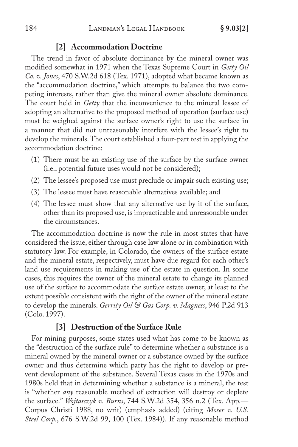#### **[2] Accommodation Doctrine**

The trend in favor of absolute dominance by the mineral owner was modified somewhat in 1971 when the Texas Supreme Court in *Getty Oil Co. v. Jones*, 470 S.W.2d 618 (Tex. 1971), adopted what became known as the "accommodation doctrine," which attempts to balance the two competing interests, rather than give the mineral owner absolute dominance. The court held in *Getty* that the inconvenience to the mineral lessee of adopting an alternative to the proposed method of operation (surface use) must be weighed against the surface owner's right to use the surface in a manner that did not unreasonably interfere with the lessee's right to develop the minerals. The court established a four-part test in applying the accommodation doctrine:

- (1) There must be an existing use of the surface by the surface owner (i.e., potential future uses would not be considered);
- (2) The lessee's proposed use must preclude or impair such existing use;
- (3) The lessee must have reasonable alternatives available; and
- (4) The lessee must show that any alternative use by it of the surface, other than its proposed use, is impracticable and unreasonable under the circumstances.

The accommodation doctrine is now the rule in most states that have considered the issue, either through case law alone or in combination with statutory law. For example, in Colorado, the owners of the surface estate and the mineral estate, respectively, must have due regard for each other's land use requirements in making use of the estate in question. In some cases, this requires the owner of the mineral estate to change its planned use of the surface to accommodate the surface estate owner, at least to the extent possible consistent with the right of the owner of the mineral estate to develop the minerals. *Gerrity Oil & Gas Corp. v. Magness*, 946 P.2d 913 (Colo. 1997).

### **[3] Destruction of the Surface Rule**

For mining purposes, some states used what has come to be known as the "destruction of the surface rule" to determine whether a substance is a mineral owned by the mineral owner or a substance owned by the surface owner and thus determine which party has the right to develop or prevent development of the substance. Several Texas cases in the 1970s and 1980s held that in determining whether a substance is a mineral, the test is "whether *any* reasonable method of extraction will destroy or deplete the surface." *Wojtasczyk v. Burns*, 744 S.W.2d 354, 356 n.2 (Tex. App.— Corpus Christi 1988, no writ) (emphasis added) (citing *Moser v. U.S. Steel Corp.*, 676 S.W.2d 99, 100 (Tex. 1984)). If any reasonable method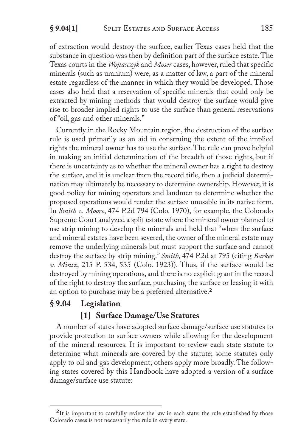of extraction would destroy the surface, earlier Texas cases held that the substance in question was then by definition part of the surface estate. The Texas courts in the *Wojtasczyk* and *Moser* cases, however, ruled that specific minerals (such as uranium) were, as a matter of law, a part of the mineral estate regardless of the manner in which they would be developed. Those cases also held that a reservation of specific minerals that could only be extracted by mining methods that would destroy the surface would give rise to broader implied rights to use the surface than general reservations of "oil, gas and other minerals."

Currently in the Rocky Mountain region, the destruction of the surface rule is used primarily as an aid in construing the extent of the implied rights the mineral owner has to use the surface. The rule can prove helpful in making an initial determination of the breadth of those rights, but if there is uncertainty as to whether the mineral owner has a right to destroy the surface, and it is unclear from the record title, then a judicial determination may ultimately be necessary to determine ownership. However, it is good policy for mining operators and landmen to determine whether the proposed operations would render the surface unusable in its native form. In *Smith v. Moore*, 474 P.2d 794 (Colo. 1970), for example, the Colorado Supreme Court analyzed a split estate where the mineral owner planned to use strip mining to develop the minerals and held that "when the surface and mineral estates have been severed, the owner of the mineral estate may remove the underlying minerals but must support the surface and cannot destroy the surface by strip mining." *Smith*, 474 P.2d at 795 (citing *Barker v. Mintz*, 215 P. 534, 535 (Colo. 1923)). Thus, if the surface would be destroyed by mining operations, and there is no explicit grant in the record of the right to destroy the surface, purchasing the surface or leasing it with an option to purchase may be a preferred alternative.<sup>2</sup>

## **§ 9.04 Legislation**

## **[1] Surface Damage/Use Statutes**

A number of states have adopted surface damage/surface use statutes to provide protection to surface owners while allowing for the development of the mineral resources. It is important to review each state statute to determine what minerals are covered by the statute; some statutes only apply to oil and gas development; others apply more broadly. The following states covered by this Handbook have adopted a version of a surface damage/surface use statute:

<sup>&</sup>lt;sup>2</sup>It is important to carefully review the law in each state; the rule established by those Colorado cases is not necessarily the rule in every state.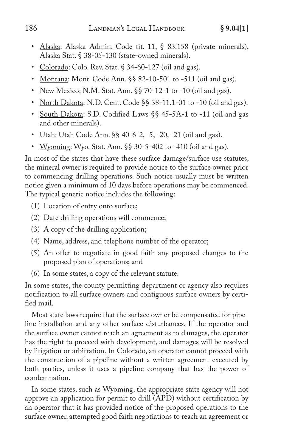- Alaska: Alaska Admin. Code tit. 11, § 83.158 (private minerals), Alaska Stat. § 38-05-130 (state-owned minerals).
- Colorado: Colo. Rev. Stat. § 34-60-127 (oil and gas).
- Montana: Mont. Code Ann. §§ 82-10-501 to -511 (oil and gas).
- New Mexico: N.M. Stat. Ann. §§ 70-12-1 to -10 (oil and gas).
- North Dakota: N.D. Cent. Code §§ 38-11.1-01 to -10 (oil and gas).
- South Dakota: S.D. Codified Laws §§ 45-5A-1 to -11 (oil and gas and other minerals).
- Utah: Utah Code Ann. §§ 40-6-2, -5, -20, -21 (oil and gas).
- Wyoming: Wyo. Stat. Ann. §§ 30-5-402 to -410 (oil and gas).

In most of the states that have these surface damage/surface use statutes, the mineral owner is required to provide notice to the surface owner prior to commencing drilling operations. Such notice usually must be written notice given a minimum of 10 days before operations may be commenced. The typical generic notice includes the following:

- (1) Location of entry onto surface;
- (2) Date drilling operations will commence;
- (3) A copy of the drilling application;
- (4) Name, address, and telephone number of the operator;
- (5) An offer to negotiate in good faith any proposed changes to the proposed plan of operations; and
- (6) In some states, a copy of the relevant statute.

In some states, the county permitting department or agency also requires notification to all surface owners and contiguous surface owners by certified mail.

Most state laws require that the surface owner be compensated for pipeline installation and any other surface disturbances. If the operator and the surface owner cannot reach an agreement as to damages, the operator has the right to proceed with development, and damages will be resolved by litigation or arbitration. In Colorado, an operator cannot proceed with the construction of a pipeline without a written agreement executed by both parties, unless it uses a pipeline company that has the power of condemnation.

In some states, such as Wyoming, the appropriate state agency will not approve an application for permit to drill (APD) without certification by an operator that it has provided notice of the proposed operations to the surface owner, attempted good faith negotiations to reach an agreement or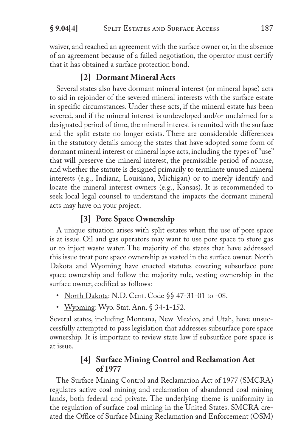waiver, and reached an agreement with the surface owner or, in the absence of an agreement because of a failed negotiation, the operator must certify that it has obtained a surface protection bond.

## **[2] Dormant Mineral Acts**

Several states also have dormant mineral interest (or mineral lapse) acts to aid in rejoinder of the severed mineral interests with the surface estate in specific circumstances. Under these acts, if the mineral estate has been severed, and if the mineral interest is undeveloped and/or unclaimed for a designated period of time, the mineral interest is reunited with the surface and the split estate no longer exists. There are considerable differences in the statutory details among the states that have adopted some form of dormant mineral interest or mineral lapse acts, including the types of "use" that will preserve the mineral interest, the permissible period of nonuse, and whether the statute is designed primarily to terminate unused mineral interests (e.g., Indiana, Louisiana, Michigan) or to merely identify and locate the mineral interest owners (e.g., Kansas). It is recommended to seek local legal counsel to understand the impacts the dormant mineral acts may have on your project.

## **[3] Pore Space Ownership**

A unique situation arises with split estates when the use of pore space is at issue. Oil and gas operators may want to use pore space to store gas or to inject waste water. The majority of the states that have addressed this issue treat pore space ownership as vested in the surface owner. North Dakota and Wyoming have enacted statutes covering subsurface pore space ownership and follow the majority rule, vesting ownership in the surface owner, codified as follows:

- North Dakota: N.D. Cent. Code §§ 47-31-01 to -08.
- Wyoming: Wyo. Stat. Ann. § 34-1-152.

Several states, including Montana, New Mexico, and Utah, have unsuccessfully attempted to pass legislation that addresses subsurface pore space ownership. It is important to review state law if subsurface pore space is at issue.

## **[4] Surface Mining Control and Reclamation Act of 1977**

The Surface Mining Control and Reclamation Act of 1977 (SMCRA) regulates active coal mining and reclamation of abandoned coal mining lands, both federal and private. The underlying theme is uniformity in the regulation of surface coal mining in the United States. SMCRA created the Office of Surface Mining Reclamation and Enforcement (OSM)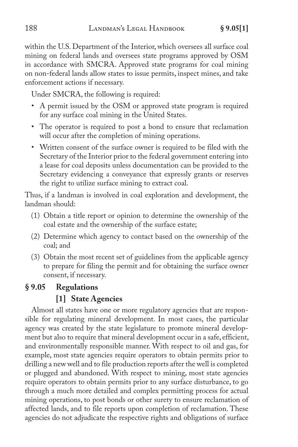within the U.S. Department of the Interior, which oversees all surface coal mining on federal lands and oversees state programs approved by OSM in accordance with SMCRA. Approved state programs for coal mining on non-federal lands allow states to issue permits, inspect mines, and take enforcement actions if necessary.

Under SMCRA, the following is required:

- A permit issued by the OSM or approved state program is required for any surface coal mining in the United States.
- The operator is required to post a bond to ensure that reclamation will occur after the completion of mining operations.
- Written consent of the surface owner is required to be filed with the Secretary of the Interior prior to the federal government entering into a lease for coal deposits unless documentation can be provided to the Secretary evidencing a conveyance that expressly grants or reserves the right to utilize surface mining to extract coal.

Thus, if a landman is involved in coal exploration and development, the landman should:

- (1) Obtain a title report or opinion to determine the ownership of the coal estate and the ownership of the surface estate;
- (2) Determine which agency to contact based on the ownership of the coal; and
- (3) Obtain the most recent set of guidelines from the applicable agency to prepare for filing the permit and for obtaining the surface owner consent, if necessary.

## **§ 9.05 Regulations**

### **[1] State Agencies**

Almost all states have one or more regulatory agencies that are responsible for regulating mineral development. In most cases, the particular agency was created by the state legislature to promote mineral development but also to require that mineral development occur in a safe, efficient, and environmentally responsible manner. With respect to oil and gas, for example, most state agencies require operators to obtain permits prior to drilling a new well and to file production reports after the well is completed or plugged and abandoned. With respect to mining, most state agencies require operators to obtain permits prior to any surface disturbance, to go through a much more detailed and complex permitting process for actual mining operations, to post bonds or other surety to ensure reclamation of affected lands, and to file reports upon completion of reclamation. These agencies do not adjudicate the respective rights and obligations of surface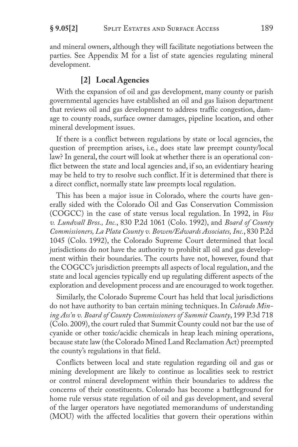and mineral owners, although they will facilitate negotiations between the parties. See Appendix M for a list of state agencies regulating mineral development.

### **[2] Local Agencies**

With the expansion of oil and gas development, many county or parish governmental agencies have established an oil and gas liaison department that reviews oil and gas development to address traffic congestion, damage to county roads, surface owner damages, pipeline location, and other mineral development issues.

If there is a conflict between regulations by state or local agencies, the question of preemption arises, i.e., does state law preempt county/local law? In general, the court will look at whether there is an operational conflict between the state and local agencies and, if so, an evidentiary hearing may be held to try to resolve such conflict. If it is determined that there is a direct conflict, normally state law preempts local regulation.

This has been a major issue in Colorado, where the courts have generally sided with the Colorado Oil and Gas Conservation Commission (COGCC) in the case of state versus local regulation. In 1992, in *Voss v. Lundvall Bros., Inc.*, 830 P.2d 1061 (Colo. 1992), and *Board of County Commissioners, La Plata County v. Bowen/Edwards Associates, Inc.*, 830 P.2d 1045 (Colo. 1992), the Colorado Supreme Court determined that local jurisdictions do not have the authority to prohibit all oil and gas development within their boundaries. The courts have not, however, found that the COGCC's jurisdiction preempts all aspects of local regulation, and the state and local agencies typically end up regulating different aspects of the exploration and development process and are encouraged to work together.

Similarly, the Colorado Supreme Court has held that local jurisdictions do not have authority to ban certain mining techniques. In *Colorado Mining Ass'n v. Board of County Commissioners of Summit County*, 199 P.3d 718 (Colo. 2009), the court ruled that Summit County could not bar the use of cyanide or other toxic/acidic chemicals in heap leach mining operations, because state law (the Colorado Mined Land Reclamation Act) preempted the county's regulations in that field.

Conflicts between local and state regulation regarding oil and gas or mining development are likely to continue as localities seek to restrict or control mineral development within their boundaries to address the concerns of their constituents. Colorado has become a battleground for home rule versus state regulation of oil and gas development, and several of the larger operators have negotiated memorandums of understanding (MOU) with the affected localities that govern their operations within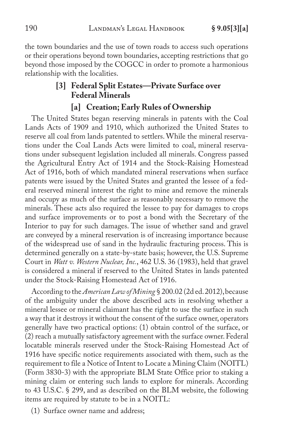the town boundaries and the use of town roads to access such operations or their operations beyond town boundaries, accepting restrictions that go beyond those imposed by the COGCC in order to promote a harmonious relationship with the localities.

# **[3] Federal Split Estates—Private Surface over Federal Minerals**

### **[a] Creation; Early Rules of Ownership**

The United States began reserving minerals in patents with the Coal Lands Acts of 1909 and 1910, which authorized the United States to reserve all coal from lands patented to settlers. While the mineral reservations under the Coal Lands Acts were limited to coal, mineral reservations under subsequent legislation included all minerals. Congress passed the Agricultural Entry Act of 1914 and the Stock-Raising Homestead Act of 1916, both of which mandated mineral reservations when surface patents were issued by the United States and granted the lessee of a federal reserved mineral interest the right to mine and remove the minerals and occupy as much of the surface as reasonably necessary to remove the minerals. These acts also required the lessee to pay for damages to crops and surface improvements or to post a bond with the Secretary of the Interior to pay for such damages. The issue of whether sand and gravel are conveyed by a mineral reservation is of increasing importance because of the widespread use of sand in the hydraulic fracturing process. This is determined generally on a state-by-state basis; however, the U.S. Supreme Court in *Watt v. Western Nuclear, Inc.*, 462 U.S. 36 (1983), held that gravel is considered a mineral if reserved to the United States in lands patented under the Stock-Raising Homestead Act of 1916.

According to the *American Law of Mining* § 200.02 (2d ed. 2012), because of the ambiguity under the above described acts in resolving whether a mineral lessee or mineral claimant has the right to use the surface in such a way that it destroys it without the consent of the surface owner, operators generally have two practical options: (1) obtain control of the surface, or (2) reach a mutually satisfactory agreement with the surface owner. Federal locatable minerals reserved under the Stock-Raising Homestead Act of 1916 have specific notice requirements associated with them, such as the requirement to file a Notice of Intent to Locate a Mining Claim (NOITL) (Form 3830-3) with the appropriate BLM State Office prior to staking a mining claim or entering such lands to explore for minerals. According to 43 U.S.C. § 299, and as described on the BLM website, the following items are required by statute to be in a NOITL:

(1) Surface owner name and address;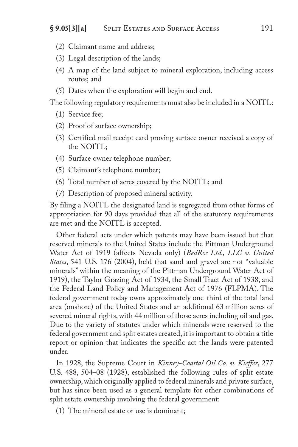- (2) Claimant name and address;
- (3) Legal description of the lands;
- (4) A map of the land subject to mineral exploration, including access routes; and
- (5) Dates when the exploration will begin and end.

The following regulatory requirements must also be included in a NOITL:

- (1) Service fee;
- (2) Proof of surface ownership;
- (3) Certified mail receipt card proving surface owner received a copy of the NOITL;
- (4) Surface owner telephone number;
- (5) Claimant's telephone number;
- (6) Total number of acres covered by the NOITL; and
- (7) Description of proposed mineral activity.

By filing a NOITL the designated land is segregated from other forms of appropriation for 90 days provided that all of the statutory requirements are met and the NOITL is accepted.

Other federal acts under which patents may have been issued but that reserved minerals to the United States include the Pittman Underground Water Act of 1919 (affects Nevada only) (*BedRoc Ltd., LLC v. United States*, 541 U.S. 176 (2004), held that sand and gravel are not "valuable minerals" within the meaning of the Pittman Underground Water Act of 1919), the Taylor Grazing Act of 1934, the Small Tract Act of 1938, and the Federal Land Policy and Management Act of 1976 (FLPMA). The federal government today owns approximately one-third of the total land area (onshore) of the United States and an additional 63 million acres of severed mineral rights, with 44 million of those acres including oil and gas. Due to the variety of statutes under which minerals were reserved to the federal government and split estates created, it is important to obtain a title report or opinion that indicates the specific act the lands were patented under.

In 1928, the Supreme Court in *Kinney-Coastal Oil Co. v. Kieffer*, 277 U.S. 488, 504–08 (1928), established the following rules of split estate ownership, which originally applied to federal minerals and private surface, but has since been used as a general template for other combinations of split estate ownership involving the federal government:

(1) The mineral estate or use is dominant;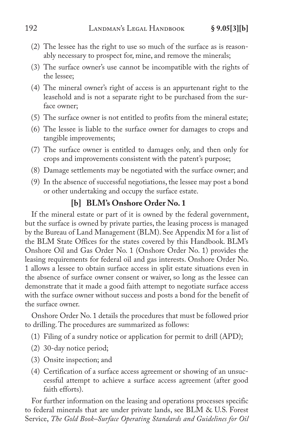- (2) The lessee has the right to use so much of the surface as is reasonably necessary to prospect for, mine, and remove the minerals;
- (3) The surface owner's use cannot be incompatible with the rights of the lessee;
- (4) The mineral owner's right of access is an appurtenant right to the leasehold and is not a separate right to be purchased from the surface owner;
- (5) The surface owner is not entitled to profits from the mineral estate;
- (6) The lessee is liable to the surface owner for damages to crops and tangible improvements;
- (7) The surface owner is entitled to damages only, and then only for crops and improvements consistent with the patent's purpose;
- (8) Damage settlements may be negotiated with the surface owner; and
- (9) In the absence of successful negotiations, the lessee may post a bond or other undertaking and occupy the surface estate.

## **[b] BLM's Onshore Order No. 1**

If the mineral estate or part of it is owned by the federal government, but the surface is owned by private parties, the leasing process is managed by the Bureau of Land Management (BLM). See Appendix M for a list of the BLM State Offices for the states covered by this Handbook. BLM's Onshore Oil and Gas Order No. 1 (Onshore Order No. 1) provides the leasing requirements for federal oil and gas interests. Onshore Order No. 1 allows a lessee to obtain surface access in split estate situations even in the absence of surface owner consent or waiver, so long as the lessee can demonstrate that it made a good faith attempt to negotiate surface access with the surface owner without success and posts a bond for the benefit of the surface owner.

Onshore Order No. 1 details the procedures that must be followed prior to drilling. The procedures are summarized as follows:

- (1) Filing of a sundry notice or application for permit to drill (APD);
- (2) 30-day notice period;
- (3) Onsite inspection; and
- (4) Certification of a surface access agreement or showing of an unsuccessful attempt to achieve a surface access agreement (after good faith efforts).

For further information on the leasing and operations processes specific to federal minerals that are under private lands, see BLM & U.S. Forest Service, *The Gold Book–Surface Operating Standards and Guidelines for Oil*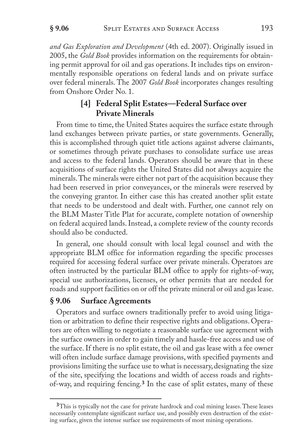*and Gas Exploration and Development* (4th ed. 2007). Originally issued in 2005, the *Gold Book* provides information on the requirements for obtaining permit approval for oil and gas operations. It includes tips on environmentally responsible operations on federal lands and on private surface over federal minerals. The 2007 *Gold Book* incorporates changes resulting from Onshore Order No. 1.

## **[4] Federal Split Estates—Federal Surface over Private Minerals**

From time to time, the United States acquires the surface estate through land exchanges between private parties, or state governments. Generally, this is accomplished through quiet title actions against adverse claimants, or sometimes through private purchases to consolidate surface use areas and access to the federal lands. Operators should be aware that in these acquisitions of surface rights the United States did not always acquire the minerals. The minerals were either not part of the acquisition because they had been reserved in prior conveyances, or the minerals were reserved by the conveying grantor. In either case this has created another split estate that needs to be understood and dealt with. Further, one cannot rely on the BLM Master Title Plat for accurate, complete notation of ownership on federal acquired lands. Instead, a complete review of the county records should also be conducted.

In general, one should consult with local legal counsel and with the appropriate BLM office for information regarding the specific processes required for accessing federal surface over private minerals. Operators are often instructed by the particular BLM office to apply for rights-of-way, special use authorizations, licenses, or other permits that are needed for roads and support facilities on or off the private mineral or oil and gas lease.

### **§ 9.06 Surface Agreements**

Operators and surface owners traditionally prefer to avoid using litigation or arbitration to define their respective rights and obligations. Operators are often willing to negotiate a reasonable surface use agreement with the surface owners in order to gain timely and hassle-free access and use of the surface. If there is no split estate, the oil and gas lease with a fee owner will often include surface damage provisions, with specified payments and provisions limiting the surface use to what is necessary, designating the size of the site, specifying the locations and width of access roads and rightsof-way, and requiring fencing.<sup>3</sup> In the case of split estates, many of these

<sup>&</sup>lt;sup>3</sup>This is typically not the case for private hardrock and coal mining leases. These leases necessarily contemplate significant surface use, and possibly even destruction of the existing surface, given the intense surface use requirements of most mining operations.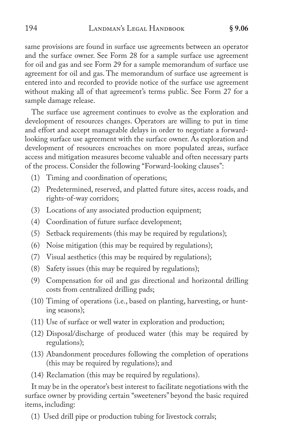same provisions are found in surface use agreements between an operator and the surface owner. See Form 28 for a sample surface use agreement for oil and gas and see Form 29 for a sample memorandum of surface use agreement for oil and gas. The memorandum of surface use agreement is entered into and recorded to provide notice of the surface use agreement without making all of that agreement's terms public. See Form 27 for a sample damage release.

The surface use agreement continues to evolve as the exploration and development of resources changes. Operators are willing to put in time and effort and accept manageable delays in order to negotiate a forwardlooking surface use agreement with the surface owner. As exploration and development of resources encroaches on more populated areas, surface access and mitigation measures become valuable and often necessary parts of the process. Consider the following "Forward-looking clauses":

- (1) Timing and coordination of operations;
- (2) Predetermined, reserved, and platted future sites, access roads, and rights-of-way corridors;
- (3) Locations of any associated production equipment;
- (4) Coordination of future surface development;
- (5) Setback requirements (this may be required by regulations);
- (6) Noise mitigation (this may be required by regulations);
- (7) Visual aesthetics (this may be required by regulations);
- (8) Safety issues (this may be required by regulations);
- (9) Compensation for oil and gas directional and horizontal drilling costs from centralized drilling pads;
- (10) Timing of operations (i.e., based on planting, harvesting, or hunting seasons);
- (11) Use of surface or well water in exploration and production;
- (12) Disposal/discharge of produced water (this may be required by regulations);
- (13) Abandonment procedures following the completion of operations (this may be required by regulations); and
- (14) Reclamation (this may be required by regulations).

It may be in the operator's best interest to facilitate negotiations with the surface owner by providing certain "sweeteners" beyond the basic required items, including:

(1) Used drill pipe or production tubing for livestock corrals;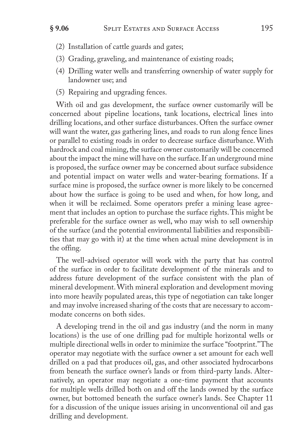- (2) Installation of cattle guards and gates;
- (3) Grading, graveling, and maintenance of existing roads;
- (4) Drilling water wells and transferring ownership of water supply for landowner use; and
- (5) Repairing and upgrading fences.

With oil and gas development, the surface owner customarily will be concerned about pipeline locations, tank locations, electrical lines into drilling locations, and other surface disturbances. Often the surface owner will want the water, gas gathering lines, and roads to run along fence lines or parallel to existing roads in order to decrease surface disturbance. With hardrock and coal mining, the surface owner customarily will be concerned about the impact the mine will have on the surface. If an underground mine is proposed, the surface owner may be concerned about surface subsidence and potential impact on water wells and water-bearing formations. If a surface mine is proposed, the surface owner is more likely to be concerned about how the surface is going to be used and when, for how long, and when it will be reclaimed. Some operators prefer a mining lease agreement that includes an option to purchase the surface rights. This might be preferable for the surface owner as well, who may wish to sell ownership of the surface (and the potential environmental liabilities and responsibilities that may go with it) at the time when actual mine development is in the offing.

The well-advised operator will work with the party that has control of the surface in order to facilitate development of the minerals and to address future development of the surface consistent with the plan of mineral development. With mineral exploration and development moving into more heavily populated areas, this type of negotiation can take longer and may involve increased sharing of the costs that are necessary to accommodate concerns on both sides.

A developing trend in the oil and gas industry (and the norm in many locations) is the use of one drilling pad for multiple horizontal wells or multiple directional wells in order to minimize the surface "footprint." The operator may negotiate with the surface owner a set amount for each well drilled on a pad that produces oil, gas, and other associated hydrocarbons from beneath the surface owner's lands or from third-party lands. Alternatively, an operator may negotiate a one-time payment that accounts for multiple wells drilled both on and off the lands owned by the surface owner, but bottomed beneath the surface owner's lands. See Chapter 11 for a discussion of the unique issues arising in unconventional oil and gas drilling and development.